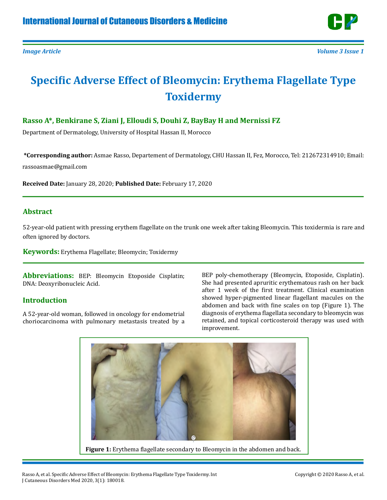

# **Specific Adverse Effect of Bleomycin: Erythema Flagellate Type Toxidermy**

## **Rasso A\*, Benkirane S, Ziani J, Elloudi S, Douhi Z, BayBay H and Mernissi FZ**

Department of Dermatology, University of Hospital Hassan II, Morocco

**\*Corresponding author:** Asmae Rasso, Departement of Dermatology, CHU Hassan II, Fez, Morocco, Tel: 212672314910; Email: rassoasmae@gmail.com

**Received Date:** January 28, 2020; **Published Date:** February 17, 2020

### **Abstract**

52-year-old patient with pressing erythem flagellate on the trunk one week after taking Bleomycin. This toxidermia is rare and often ignored by doctors.

**Keywords:** Erythema Flagellate; Bleomycin; Toxidermy

**Abbreviations:** BEP: Bleomycin Etoposide Cisplatin; DNA: Deoxyribonucleic Acid.

### **Introduction**

A 52-year-old woman, followed in oncology for endometrial choriocarcinoma with pulmonary metastasis treated by a BEP poly-chemotherapy (Bleomycin, Etoposide, Cisplatin). She had presented apruritic erythematous rash on her back after 1 week of the first treatment. Clinical examination showed hyper-pigmented linear flagellant macules on the abdomen and back with fine scales on top (Figure 1). The diagnosis of erythema flagellata secondary to bleomycin was retained, and topical corticosteroid therapy was used with improvement.



**Figure 1:** Erythema flagellate secondary to Bleomycin in the abdomen and back.